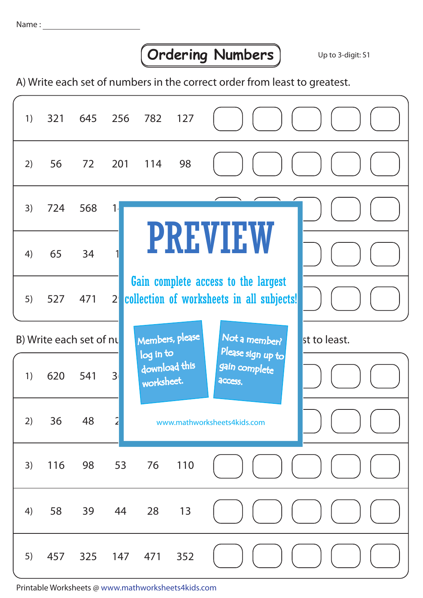## **Condering Numbers** Up to 3-digit: S1

A) Write each set of numbers in the correct order from least to greatest.

| 1)                                         | 321 | 645 | 256 782 127    |                                          |                                                                                  |                                               |              |
|--------------------------------------------|-----|-----|----------------|------------------------------------------|----------------------------------------------------------------------------------|-----------------------------------------------|--------------|
| 2)                                         | 56  | 72  | 201            | 114                                      | 98                                                                               |                                               |              |
| 3)                                         | 724 | 568 | 1 <sub>1</sub> |                                          |                                                                                  |                                               |              |
| 4)                                         | 65  | 34  |                |                                          |                                                                                  | <b>PREVIEW</b>                                |              |
| 5)                                         | 527 | 471 | 2 <sup>1</sup> |                                          | Gain complete access to the largest<br>collection of worksheets in all subjects! |                                               |              |
| Members, please<br>B) Write each set of nu |     |     |                |                                          |                                                                                  | Not a member?                                 | st to least. |
| 1)                                         | 620 | 541 | 3 <sup>1</sup> | log in to<br>download this<br>worksheet. |                                                                                  | Please sign up to<br>gain complete<br>access. |              |
| 2)                                         | 36  | 48  | $\overline{2}$ |                                          |                                                                                  | www.mathworksheets4kids.com                   |              |
| 3)                                         | 116 | 98  | 53             | 76                                       | 110                                                                              |                                               |              |
| 4)                                         | 58  | 39  | 44             | 28                                       | 13                                                                               |                                               |              |
| 5)                                         | 457 | 325 | 147            | 471                                      | 352                                                                              |                                               |              |

Printable Worksheets @ www.mathworksheets4kids.com